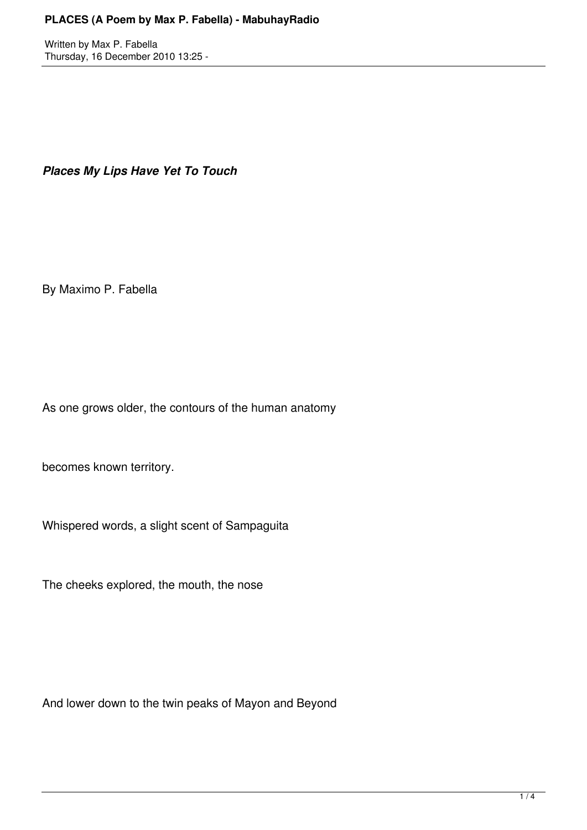## **PLACES (A Poem by Max P. Fabella) - MabuhayRadio**

Written by Max P. Fabella Thursday, 16 December 2010 13:25 -

*Places My Lips Have Yet To Touch*

By Maximo P. Fabella

As one grows older, the contours of the human anatomy

becomes known territory.

Whispered words, a slight scent of Sampaguita

The cheeks explored, the mouth, the nose

And lower down to the twin peaks of Mayon and Beyond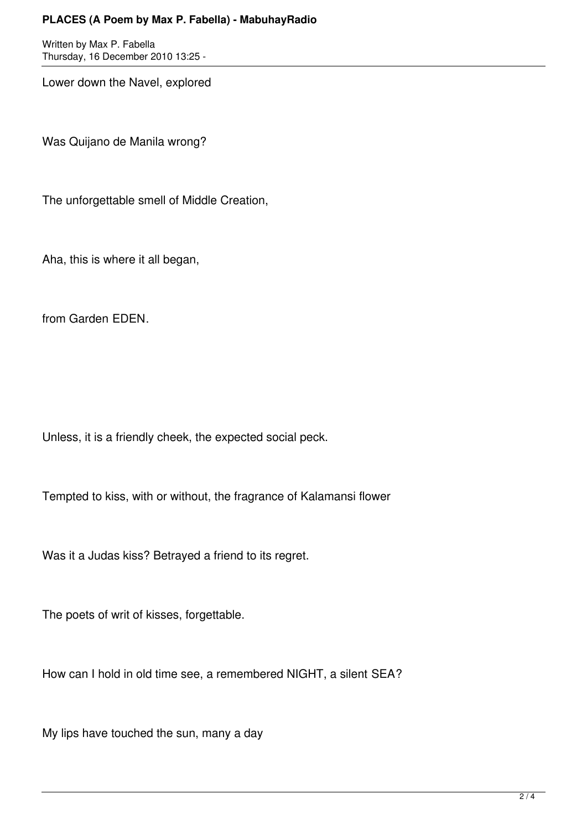## **PLACES (A Poem by Max P. Fabella) - MabuhayRadio**

Written by Max P. Fabella Thursday, 16 December 2010 13:25 -

Lower down the Navel, explored

Was Quijano de Manila wrong?

The unforgettable smell of Middle Creation,

Aha, this is where it all began,

from Garden EDEN.

Unless, it is a friendly cheek, the expected social peck.

Tempted to kiss, with or without, the fragrance of Kalamansi flower

Was it a Judas kiss? Betrayed a friend to its regret.

The poets of writ of kisses, forgettable.

How can I hold in old time see, a remembered NIGHT, a silent SEA?

My lips have touched the sun, many a day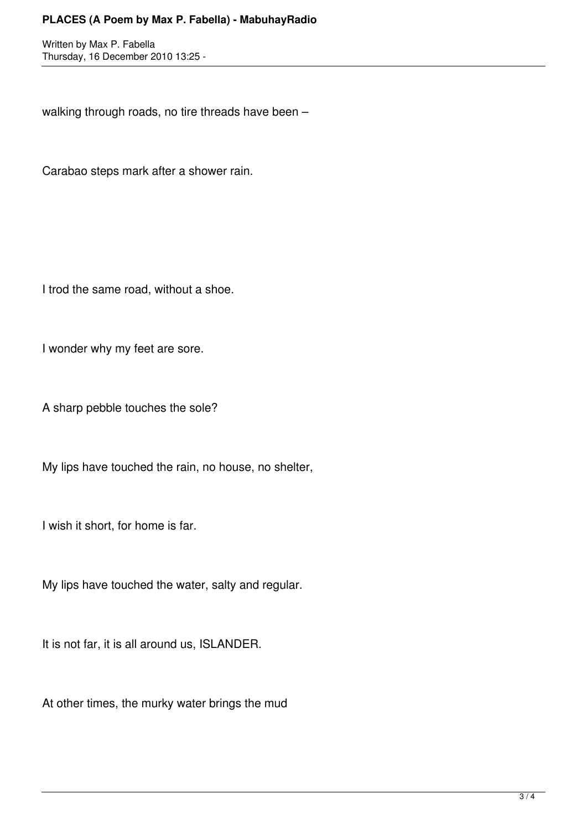## **PLACES (A Poem by Max P. Fabella) - MabuhayRadio**

Written by Max P. Fabella Thursday, 16 December 2010 13:25 -

walking through roads, no tire threads have been –

Carabao steps mark after a shower rain.

I trod the same road, without a shoe.

I wonder why my feet are sore.

A sharp pebble touches the sole?

My lips have touched the rain, no house, no shelter,

I wish it short, for home is far.

My lips have touched the water, salty and regular.

It is not far, it is all around us, ISLANDER.

At other times, the murky water brings the mud